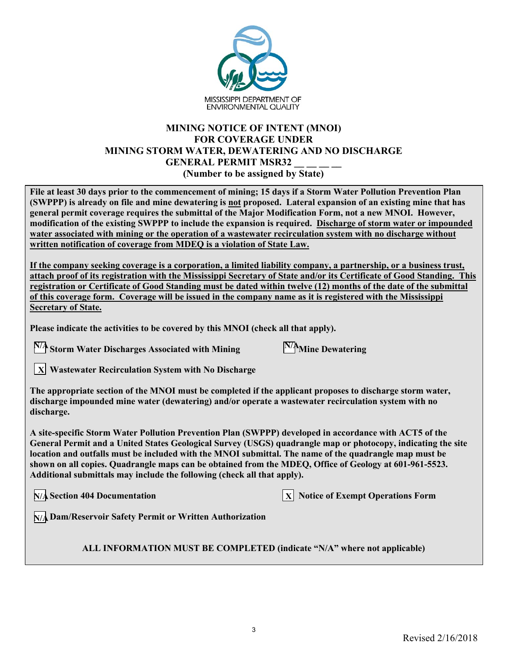

## **MINING NOTICE OF INTENT (MNOI) FOR COVERAGE UNDER MINING STORM WATER, DEWATERING AND NO DISCHARGE GENERAL PERMIT MSR32 (Number to be assigned by State)**

**File at least 30 days prior to the commencement of mining; 15 days if a Storm Water Pollution Prevention Plan (SWPPP) is already on file and mine dewatering is not proposed. Lateral expansion of an existing mine that has general permit coverage requires the submittal of the Major Modification Form, not a new MNOI. However, modification of the existing SWPPP to include the expansion is required. Discharge of storm water or impounded water associated with mining or the operation of a wastewater recirculation system with no discharge without written notification of coverage from MDEQ is a violation of State Law.** 

**If the company seeking coverage is a corporation, a limited liability company, a partnership, or a business trust, attach proof of its registration with the Mississippi Secretary of State and/or its Certificate of Good Standing. This registration or Certificate of Good Standing must be dated within twelve (12) months of the date of the submittal of this coverage form. Coverage will be issued in the company name as it is registered with the Mississippi Secretary of State.**

**Please indicate the activities to be covered by this MNOI (check all that apply).**

**Storm Water Discharges Associated with Mining Mine Dewatering N/A N/A**

| N/A <sub>Mine</sub> Dewatering |  |
|--------------------------------|--|
|--------------------------------|--|

**Wastewater Recirculation System with No Discharge**  $|\mathbf{x}|$ 

**The appropriate section of the MNOI must be completed if the applicant proposes to discharge storm water, discharge impounded mine water (dewatering) and/or operate a wastewater recirculation system with no discharge.** 

**A site-specific Storm Water Pollution Prevention Plan (SWPPP) developed in accordance with ACT5 of the General Permit and a United States Geological Survey (USGS) quadrangle map or photocopy, indicating the site location and outfalls must be included with the MNOI submittal. The name of the quadrangle map must be shown on all copies. Quadrangle maps can be obtained from the MDEQ, Office of Geology at 601-961-5523. Additional submittals may include the following (check all that apply).**

**N/A** Section 404 Documentation

**Solution 3** Notice of Exempt Operations Form

**Dam/Reservoir Safety Permit or Written Authorization N/A**

**ALL INFORMATION MUST BE COMPLETED (indicate "N/A" where not applicable)**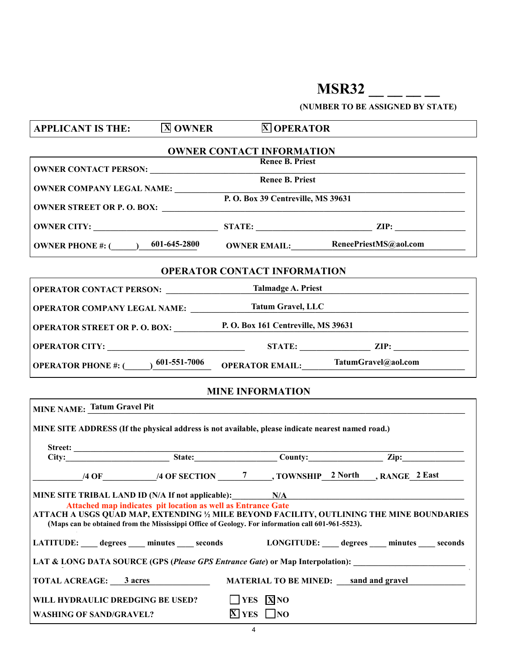## **MSR32** \_\_ \_\_ \_\_

**(NUMBER TO BE ASSIGNED BY STATE)**

| <b>APPLICANT IS THE:</b>                                                                                                                                | <b>X</b> OWNER | <b>X OPERATOR</b>                            |  |
|---------------------------------------------------------------------------------------------------------------------------------------------------------|----------------|----------------------------------------------|--|
| <b>OWNER CONTACT INFORMATION</b>                                                                                                                        |                |                                              |  |
|                                                                                                                                                         |                | <b>Renee B. Priest</b>                       |  |
| <b>OWNER COMPANY LEGAL NAME:</b><br>P. O. Box 39 Centreville, MS 39631                                                                                  |                | Renee B. Priest                              |  |
|                                                                                                                                                         |                |                                              |  |
|                                                                                                                                                         |                |                                              |  |
| OWNER PHONE #: (0001-645-2800 OWNER EMAIL: ReneePriestMS@aol.com                                                                                        |                |                                              |  |
|                                                                                                                                                         |                | <b>OPERATOR CONTACT INFORMATION</b>          |  |
| <b>OPERATOR CONTACT PERSON:</b> __________________Talmadge A. Priest                                                                                    |                |                                              |  |
| <b>OPERATOR COMPANY LEGAL NAME:</b> Tatum Gravel, LLC                                                                                                   |                |                                              |  |
| <b>OPERATOR STREET OR P. O. BOX:</b> P. O. Box 161 Centreville, MS 39631                                                                                |                |                                              |  |
|                                                                                                                                                         |                |                                              |  |
| OPERATOR PHONE #: (001-551-7006 OPERATOR EMAIL: TatumGravel@aol.com                                                                                     |                |                                              |  |
|                                                                                                                                                         |                | <b>MINE INFORMATION</b>                      |  |
| MINE NAME: Tatum Gravel Pit                                                                                                                             |                |                                              |  |
| MINE SITE ADDRESS (If the physical address is not available, please indicate nearest named road.)                                                       |                |                                              |  |
|                                                                                                                                                         |                |                                              |  |
|                                                                                                                                                         |                |                                              |  |
|                                                                                                                                                         |                |                                              |  |
| MINE SITE TRIBAL LAND ID (N/A If not applicable):<br>N/A                                                                                                |                |                                              |  |
| Attached map indicates pit location as well as Entrance Gate<br>ATTACH A USGS QUAD MAP, EXTENDING ½ MILE BEYOND FACILITY, OUTLINING THE MINE BOUNDARIES |                |                                              |  |
| (Maps can be obtained from the Mississippi Office of Geology. For information call 601-961-5523).<br>31.163164, -91.055989 Tatum Gravel Pit             |                |                                              |  |
| LATITUDE: degrees minutes seconds<br>LONGITUDE: degrees minutes seconds                                                                                 |                |                                              |  |
| LAT & LONG DATA SOURCE (GPS (Please GPS Entrance Gate) or Map Interpolation):                                                                           |                |                                              |  |
| <b>TOTAL ACREAGE: 3 acres</b>                                                                                                                           |                | <b>MATERIAL TO BE MINED:</b> sand and gravel |  |
| WILL HYDRAULIC DREDGING BE USED?                                                                                                                        |                | $\Box$ YES $\overline{X}$ NO                 |  |
| <b>WASHING OF SAND/GRAVEL?</b>                                                                                                                          |                | $\overline{X}$ YES $\Box$ NO                 |  |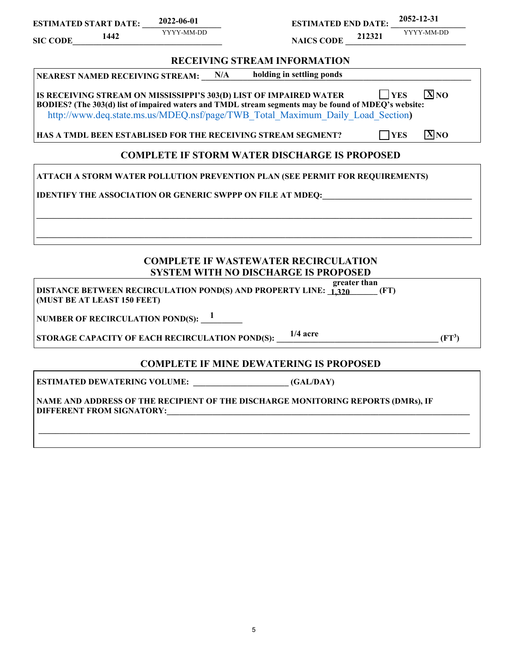| <b>ESTIMATED START DATE:</b><br>1442<br><b>SIC CODE</b>            | 2022-06-01<br>YYYY-MM-DD | <b>ESTIMATED END DATE:</b><br><b>NAICS CODE</b> 212321                                                                                                                                 | 2052-12-31<br>YYYY-MM-DD             |
|--------------------------------------------------------------------|--------------------------|----------------------------------------------------------------------------------------------------------------------------------------------------------------------------------------|--------------------------------------|
|                                                                    |                          | <b>RECEIVING STREAM INFORMATION</b>                                                                                                                                                    |                                      |
| <b>NEAREST NAMED RECEIVING STREAM:</b>                             | N/A                      | holding in settling ponds                                                                                                                                                              |                                      |
| IS RECEIVING STREAM ON MISSISSIPPI'S 303(D) LIST OF IMPAIRED WATER |                          | BODIES? (The 303(d) list of impaired waters and TMDL stream segments may be found of MDEQ's website:<br>http://www.deq.state.ms.us/MDEQ.nsf/page/TWB Total Maximum Daily Load Section) | $\boxed{\mathbf{X}}$ NO<br>$ $   YES |
| HAS A TMDL BEEN ESTABLISED FOR THE RECEIVING STREAM SEGMENT?       |                          |                                                                                                                                                                                        | $\overline{X}N$<br><b>TYES</b>       |
|                                                                    |                          | <b>COMPLETE IF STORM WATER DISCHARGE IS PROPOSED</b>                                                                                                                                   |                                      |
|                                                                    |                          | ATTACH A STORM WATER POLLUTION PREVENTION PLAN (SEE PERMIT FOR REQUIREMENTS)                                                                                                           |                                      |
|                                                                    |                          | <b>IDENTIFY THE ASSOCIATION OR GENERIC SWPPP ON FILE AT MDEQ:</b>                                                                                                                      |                                      |
|                                                                    |                          |                                                                                                                                                                                        |                                      |
|                                                                    |                          |                                                                                                                                                                                        |                                      |
|                                                                    |                          |                                                                                                                                                                                        |                                      |
|                                                                    |                          | <b>COMPLETE IF WASTEWATER RECIRCULATION</b>                                                                                                                                            |                                      |
|                                                                    |                          | <b>SYSTEM WITH NO DISCHARGE IS PROPOSED</b>                                                                                                                                            |                                      |

| greater than<br>pread<br>DISTANCE BETWEEN RECIRCULATION POND(S) AND PROPERTY LINE: 1.320<br>(FT)<br>(MUST BE AT LEAST 150 FEET) |          |
|---------------------------------------------------------------------------------------------------------------------------------|----------|
| NUMBER OF RECIRCULATION POND(S): $^{\,1}$                                                                                       |          |
| $1/4$ acre<br><b>STORAGE CAPACITY OF EACH RECIRCULATION POND(S):</b>                                                            | $(FT^3)$ |

## **COMPLETE IF MINE DEWATERING IS PROPOSED**

**\_\_\_\_\_\_\_\_\_\_\_\_\_\_\_\_\_\_\_\_\_\_\_\_\_\_\_\_\_\_\_\_\_\_\_\_\_\_\_\_\_\_\_\_\_\_\_\_\_\_\_\_\_\_\_\_\_\_\_\_\_\_\_\_\_\_\_\_\_\_\_\_\_\_\_\_\_\_\_\_\_\_\_\_\_\_\_\_\_\_\_\_\_\_\_\_\_\_\_\_\_\_\_\_**

**ESTIMATED DEWATERING VOLUME: \_\_\_\_\_\_\_\_\_\_\_\_\_\_\_\_\_\_\_\_\_\_\_ (GAL/DAY)**

**NAME AND ADDRESS OF THE RECIPIENT OF THE DISCHARGE MONITORING REPORTS (DMRs), IF DIFFERENT FROM SIGNATORY:**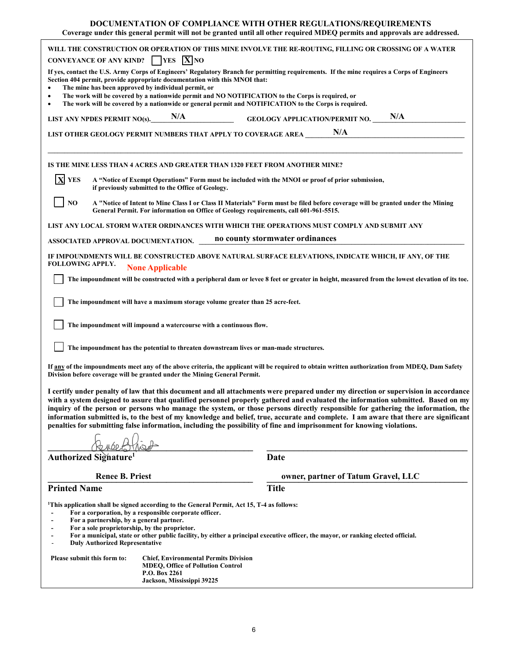| <b>DOCUMENTATION OF COMPLIANCE WITH OTHER REGULATIONS/REQUIREMENTS</b><br>Coverage under this general permit will not be granted until all other required MDEQ permits and approvals are addressed.                                                                                                                                                                                                                                                                                                                                                                                                                                                                           |                                                                                                                                |  |  |
|-------------------------------------------------------------------------------------------------------------------------------------------------------------------------------------------------------------------------------------------------------------------------------------------------------------------------------------------------------------------------------------------------------------------------------------------------------------------------------------------------------------------------------------------------------------------------------------------------------------------------------------------------------------------------------|--------------------------------------------------------------------------------------------------------------------------------|--|--|
| WILL THE CONSTRUCTION OR OPERATION OF THIS MINE INVOLVE THE RE-ROUTING, FILLING OR CROSSING OF A WATER<br>CONVEYANCE OF ANY KIND? $\Box$ YES $\Box$ NO                                                                                                                                                                                                                                                                                                                                                                                                                                                                                                                        |                                                                                                                                |  |  |
| If yes, contact the U.S. Army Corps of Engineers' Regulatory Branch for permitting requirements. If the mine requires a Corps of Engineers<br>Section 404 permit, provide appropriate documentation with this MNOI that:<br>The mine has been approved by individual permit, or                                                                                                                                                                                                                                                                                                                                                                                               |                                                                                                                                |  |  |
| The work will be covered by a nationwide permit and NO NOTIFICATION to the Corps is required, or<br>$\bullet$<br>The work will be covered by a nationwide or general permit and NOTIFICATION to the Corps is required.<br>$\bullet$                                                                                                                                                                                                                                                                                                                                                                                                                                           |                                                                                                                                |  |  |
| LIST ANY NPDES PERMIT NO(s). $N/A$                                                                                                                                                                                                                                                                                                                                                                                                                                                                                                                                                                                                                                            | N/A<br><b>GEOLOGY APPLICATION/PERMIT NO.</b>                                                                                   |  |  |
| LIST OTHER GEOLOGY PERMIT NUMBERS THAT APPLY TO COVERAGE AREA ____                                                                                                                                                                                                                                                                                                                                                                                                                                                                                                                                                                                                            | N/A                                                                                                                            |  |  |
| IS THE MINE LESS THAN 4 ACRES AND GREATER THAN 1320 FEET FROM ANOTHER MINE?                                                                                                                                                                                                                                                                                                                                                                                                                                                                                                                                                                                                   |                                                                                                                                |  |  |
| <b>X</b> YES<br>A "Notice of Exempt Operations" Form must be included with the MNOI or proof of prior submission,<br>if previously submitted to the Office of Geology.                                                                                                                                                                                                                                                                                                                                                                                                                                                                                                        |                                                                                                                                |  |  |
| N <sub>O</sub><br>General Permit. For information on Office of Geology requirements, call 601-961-5515.                                                                                                                                                                                                                                                                                                                                                                                                                                                                                                                                                                       | A "Notice of Intent to Mine Class I or Class II Materials" Form must be filed before coverage will be granted under the Mining |  |  |
| LIST ANY LOCAL STORM WATER ORDINANCES WITH WHICH THE OPERATIONS MUST COMPLY AND SUBMIT ANY                                                                                                                                                                                                                                                                                                                                                                                                                                                                                                                                                                                    |                                                                                                                                |  |  |
| ASSOCIATED APPROVAL DOCUMENTATION.                                                                                                                                                                                                                                                                                                                                                                                                                                                                                                                                                                                                                                            | no county stormwater ordinances                                                                                                |  |  |
| IF IMPOUNDMENTS WILL BE CONSTRUCTED ABOVE NATURAL SURFACE ELEVATIONS, INDICATE WHICH, IF ANY, OF THE<br><b>FOLLOWING APPLY.</b><br><b>None Applicable</b>                                                                                                                                                                                                                                                                                                                                                                                                                                                                                                                     |                                                                                                                                |  |  |
| The impoundment will be constructed with a peripheral dam or levee 8 feet or greater in height, measured from the lowest elevation of its toe.                                                                                                                                                                                                                                                                                                                                                                                                                                                                                                                                |                                                                                                                                |  |  |
| The impoundment will have a maximum storage volume greater than 25 acre-feet.                                                                                                                                                                                                                                                                                                                                                                                                                                                                                                                                                                                                 |                                                                                                                                |  |  |
| The impoundment will impound a watercourse with a continuous flow.                                                                                                                                                                                                                                                                                                                                                                                                                                                                                                                                                                                                            |                                                                                                                                |  |  |
| The impoundment has the potential to threaten downstream lives or man-made structures.                                                                                                                                                                                                                                                                                                                                                                                                                                                                                                                                                                                        |                                                                                                                                |  |  |
| If any of the impoundments meet any of the above criteria, the applicant will be required to obtain written authorization from MDEQ, Dam Safety<br>Division before coverage will be granted under the Mining General Permit.                                                                                                                                                                                                                                                                                                                                                                                                                                                  |                                                                                                                                |  |  |
| I certify under penalty of law that this document and all attachments were prepared under my direction or supervision in accordance<br>with a system designed to assure that qualified personnel properly gathered and evaluated the information submitted. Based on my<br>inquiry of the person or persons who manage the system, or those persons directly responsible for gathering the information, the<br>information submitted is, to the best of my knowledge and belief, true, accurate and complete. I am aware that there are significant<br>penalties for submitting false information, including the possibility of fine and imprisonment for knowing violations. |                                                                                                                                |  |  |
|                                                                                                                                                                                                                                                                                                                                                                                                                                                                                                                                                                                                                                                                               |                                                                                                                                |  |  |
| Authorized Signature <sup>1</sup>                                                                                                                                                                                                                                                                                                                                                                                                                                                                                                                                                                                                                                             | Date                                                                                                                           |  |  |
| <b>Renee B. Priest</b><br><b>Printed Name</b>                                                                                                                                                                                                                                                                                                                                                                                                                                                                                                                                                                                                                                 | owner, partner of Tatum Gravel, LLC<br><b>Title</b>                                                                            |  |  |
| <sup>1</sup> This application shall be signed according to the General Permit, Act 15, T-4 as follows:<br>For a corporation, by a responsible corporate officer.<br>For a partnership, by a general partner.<br>For a sole proprietorship, by the proprietor.<br>For a municipal, state or other public facility, by either a principal executive officer, the mayor, or ranking elected official.<br><b>Duly Authorized Representative</b><br>Please submit this form to:<br><b>Chief, Environmental Permits Division</b>                                                                                                                                                    |                                                                                                                                |  |  |
| <b>MDEQ, Office of Pollution Control</b><br>P.O. Box 2261<br>Jackson, Mississippi 39225                                                                                                                                                                                                                                                                                                                                                                                                                                                                                                                                                                                       |                                                                                                                                |  |  |